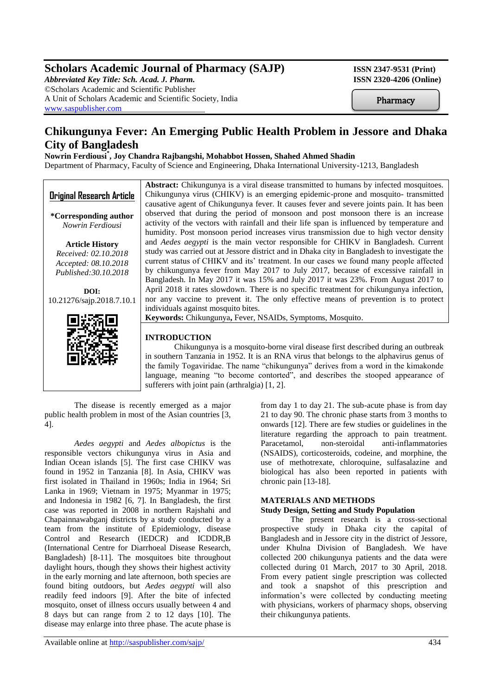# **Scholars Academic Journal of Pharmacy (SAJP) ISSN 2347-9531 (Print)**

*Abbreviated Key Title: Sch. Acad. J. Pharm.* **ISSN 2320-4206 (Online)** ©Scholars Academic and Scientific Publisher A Unit of Scholars Academic and Scientific Society, India [www.saspublisher.com](http://www.saspublisher.com/)

**Pharmacy** 

# **Chikungunya Fever: An Emerging Public Health Problem in Jessore and Dhaka City of Bangladesh**

# **Nowrin Ferdiousi\* , Joy Chandra Rajbangshi, Mohabbot Hossen, Shahed Ahmed Shadin**

Department of Pharmacy, Faculty of Science and Engineering, Dhaka International University-1213, Bangladesh

|                                  | Abstract: Chikungunya is a viral disease transmitted to humans by infected mosquitoes.                                                                                                                                                                                                                            |
|----------------------------------|-------------------------------------------------------------------------------------------------------------------------------------------------------------------------------------------------------------------------------------------------------------------------------------------------------------------|
| <b>Original Research Article</b> | Chikungunya virus (CHIKV) is an emerging epidemic-prone and mosquito-transmitted                                                                                                                                                                                                                                  |
|                                  | causative agent of Chikungunya fever. It causes fever and severe joints pain. It has been                                                                                                                                                                                                                         |
| *Corresponding author            | observed that during the period of monsoon and post monsoon there is an increase                                                                                                                                                                                                                                  |
| Nowrin Ferdiousi                 | activity of the vectors with rainfall and their life span is influenced by temperature and                                                                                                                                                                                                                        |
|                                  | humidity. Post monsoon period increases virus transmission due to high vector density                                                                                                                                                                                                                             |
| <b>Article History</b>           | and Aedes aegypti is the main vector responsible for CHIKV in Bangladesh. Current                                                                                                                                                                                                                                 |
| Received: 02.10.2018             | study was carried out at Jessore district and in Dhaka city in Bangladesh to investigate the                                                                                                                                                                                                                      |
| Accepted: 08.10.2018             | current status of CHIKV and its' treatment. In our cases we found many people affected                                                                                                                                                                                                                            |
| Published: 30.10.2018            | by chikungunya fever from May 2017 to July 2017, because of excessive rainfall in                                                                                                                                                                                                                                 |
|                                  | Bangladesh. In May 2017 it was 15% and July 2017 it was 23%. From August 2017 to                                                                                                                                                                                                                                  |
| DOI:                             | April 2018 it rates slowdown. There is no specific treatment for chikungunya infection,                                                                                                                                                                                                                           |
| 10.21276/sajp.2018.7.10.1        | nor any vaccine to prevent it. The only effective means of prevention is to protect                                                                                                                                                                                                                               |
|                                  | individuals against mosquito bites.                                                                                                                                                                                                                                                                               |
|                                  | Keywords: Chikungunya, Fever, NSAIDs, Symptoms, Mosquito.                                                                                                                                                                                                                                                         |
|                                  |                                                                                                                                                                                                                                                                                                                   |
|                                  | <b>INTRODUCTION</b>                                                                                                                                                                                                                                                                                               |
|                                  | Chikungunya is a mosquito-borne viral disease first described during an outbreak                                                                                                                                                                                                                                  |
|                                  | in southern Tanzania in 1952. It is an RNA virus that belongs to the alphavirus genus of                                                                                                                                                                                                                          |
|                                  | $\mathcal{L}$ and $\mathcal{L}$ and $\mathcal{L}$ and $\mathcal{L}$ and $\mathcal{L}$ and $\mathcal{L}$ and $\mathcal{L}$ and $\mathcal{L}$ and $\mathcal{L}$ and $\mathcal{L}$ and $\mathcal{L}$ and $\mathcal{L}$ and $\mathcal{L}$ and $\mathcal{L}$ and $\mathcal{L}$ and $\mathcal{L}$ and $\mathcal{L}$ and |

sufferers with joint pain (arthralgia) [1, 2]. The disease is recently emerged as a major public health problem in most of the Asian countries [3,

*Aedes aegypti* and *Aedes albopictus* is the responsible vectors chikungunya virus in Asia and Indian Ocean islands [5]. The first case CHIKV was found in 1952 in Tanzania [8]. In Asia, CHIKV was first isolated in Thailand in 1960s; India in 1964; Sri Lanka in 1969; Vietnam in 1975; Myanmar in 1975; and Indonesia in 1982 [6, 7]. In Bangladesh, the first case was reported in 2008 in northern Rajshahi and Chapainnawabganj districts by a study conducted by a team from the institute of Epidemiology, disease Control and Research (IEDCR) and ICDDR,B (International Centre for Diarrhoeal Disease Research, Bangladesh) [8-11]. The mosquitoes bite throughout daylight hours, though they shows their highest activity in the early morning and late afternoon, both species are found biting outdoors, but *Aedes aegypti* will also readily feed indoors [9]. After the bite of infected mosquito, onset of illness occurs usually between 4 and 8 days but can range from 2 to 12 days [10]. The disease may enlarge into three phase. The acute phase is

4].

from day 1 to day 21. The sub-acute phase is from day 21 to day 90. The chronic phase starts from 3 months to onwards [12]. There are few studies or guidelines in the literature regarding the approach to pain treatment. Paracetamol, non-steroidal anti-inflammatories (NSAIDS), corticosteroids, codeine, and morphine, the use of methotrexate, chloroquine, sulfasalazine and biological has also been reported in patients with chronic pain [13-18].

## **MATERIALS AND METHODS**

the family Togaviridae. The name "chikungunya" derives from a word in the kimakonde language, meaning "to become contorted", and describes the stooped appearance of

### **Study Design, Setting and Study Population**

The present research is a cross-sectional prospective study in Dhaka city the capital of Bangladesh and in Jessore city in the district of Jessore, under Khulna Division of Bangladesh. We have collected 200 chikungunya patients and the data were collected during 01 March, 2017 to 30 April, 2018. From every patient single prescription was collected and took a snapshot of this prescription and information's were collected by conducting meeting with physicians, workers of pharmacy shops, observing their chikungunya patients.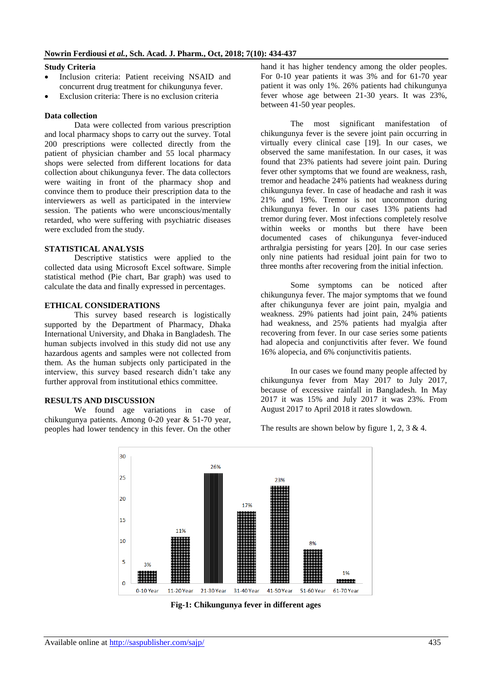### **Study Criteria**

- Inclusion criteria: Patient receiving NSAID and concurrent drug treatment for chikungunya fever.
- Exclusion criteria: There is no exclusion criteria

#### **Data collection**

Data were collected from various prescription and local pharmacy shops to carry out the survey. Total 200 prescriptions were collected directly from the patient of physician chamber and 55 local pharmacy shops were selected from different locations for data collection about chikungunya fever. The data collectors were waiting in front of the pharmacy shop and convince them to produce their prescription data to the interviewers as well as participated in the interview session. The patients who were unconscious/mentally retarded, who were suffering with psychiatric diseases were excluded from the study.

# **STATISTICAL ANALYSIS**

Descriptive statistics were applied to the collected data using Microsoft Excel software. Simple statistical method (Pie chart, Bar graph) was used to calculate the data and finally expressed in percentages.

## **ETHICAL CONSIDERATIONS**

This survey based research is logistically supported by the Department of Pharmacy, Dhaka International University, and Dhaka in Bangladesh. The human subjects involved in this study did not use any hazardous agents and samples were not collected from them. As the human subjects only participated in the interview, this survey based research didn't take any further approval from institutional ethics committee.

#### **RESULTS AND DISCUSSION**

We found age variations in case of chikungunya patients. Among 0-20 year & 51-70 year, peoples had lower tendency in this fever. On the other hand it has higher tendency among the older peoples. For 0-10 year patients it was 3% and for 61-70 year patient it was only 1%. 26% patients had chikungunya fever whose age between 21-30 years. It was 23%, between 41-50 year peoples.

The most significant manifestation of chikungunya fever is the severe joint pain occurring in virtually every clinical case [19]. In our cases, we observed the same manifestation. In our cases, it was found that 23% patients had severe joint pain. During fever other symptoms that we found are weakness, rash, tremor and headache 24% patients had weakness during chikungunya fever. In case of headache and rash it was 21% and 19%. Tremor is not uncommon during chikungunya fever. In our cases 13% patients had tremor during fever. Most infections completely resolve within weeks or months but there have been documented cases of chikungunya fever-induced arthralgia persisting for years [20]. In our case series only nine patients had residual joint pain for two to three months after recovering from the initial infection.

Some symptoms can be noticed after chikungunya fever. The major symptoms that we found after chikungunya fever are joint pain, myalgia and weakness. 29% patients had joint pain, 24% patients had weakness, and 25% patients had myalgia after recovering from fever. In our case series some patients had alopecia and conjunctivitis after fever. We found 16% alopecia, and 6% conjunctivitis patients.

In our cases we found many people affected by chikungunya fever from May 2017 to July 2017, because of excessive rainfall in Bangladesh. In May 2017 it was 15% and July 2017 it was 23%. From August 2017 to April 2018 it rates slowdown.

The results are shown below by figure 1, 2, 3 & 4.



**Fig-1: Chikungunya fever in different ages**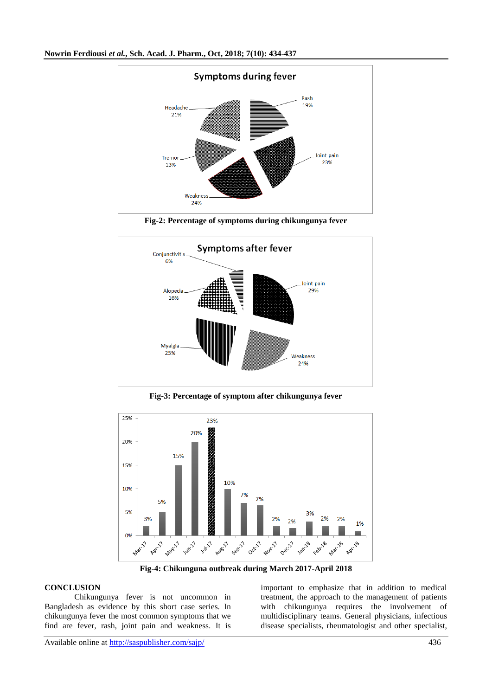

**Fig-2: Percentage of symptoms during chikungunya fever**



**Fig-3: Percentage of symptom after chikungunya fever**



**Fig-4: Chikunguna outbreak during March 2017-April 2018**

## **CONCLUSION**

Chikungunya fever is not uncommon in Bangladesh as evidence by this short case series. In chikungunya fever the most common symptoms that we find are fever, rash, joint pain and weakness. It is

important to emphasize that in addition to medical treatment, the approach to the management of patients with chikungunya requires the involvement of multidisciplinary teams. General physicians, infectious disease specialists, rheumatologist and other specialist,